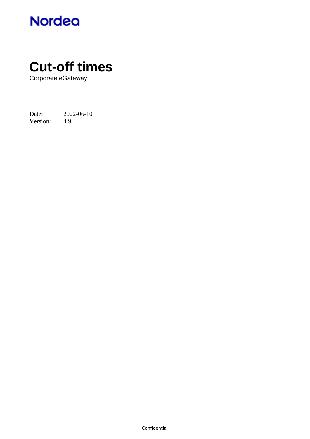

# **Cut-off times**

Corporate eGateway

Date: 2022-06-10<br>Version: 4.9 Version: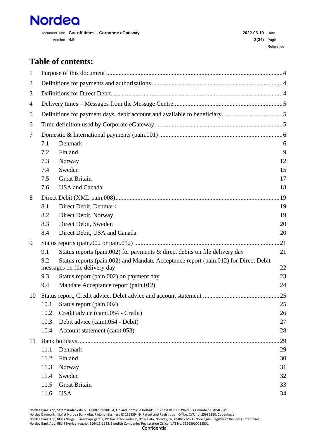

Document Title **Cut-off times – Corporate eGateway 2022-06-10** Date Version **4.9 2(34)** Page

# **Table of contents:**

| $\mathbf{1}$   |      |                                                                                                                      |     |
|----------------|------|----------------------------------------------------------------------------------------------------------------------|-----|
| $\overline{2}$ |      |                                                                                                                      |     |
| 3              |      |                                                                                                                      |     |
| $\overline{4}$ |      |                                                                                                                      |     |
| 5              |      |                                                                                                                      |     |
| 6              |      |                                                                                                                      |     |
| 7              |      |                                                                                                                      |     |
|                | 7.1  | Denmark                                                                                                              | 6   |
|                | 7.2  | Finland                                                                                                              | 9   |
|                | 7.3  | Norway                                                                                                               | 12  |
|                | 7.4  | Sweden                                                                                                               | 15  |
|                | 7.5  | <b>Great Britain</b>                                                                                                 | 17  |
|                | 7.6  | <b>USA</b> and Canada                                                                                                | 18  |
| 8              |      |                                                                                                                      |     |
|                | 8.1  | Direct Debit, Denmark                                                                                                | 19  |
|                | 8.2  | Direct Debit, Norway                                                                                                 | 19  |
|                | 8.3  | Direct Debit, Sweden                                                                                                 | 20  |
|                | 8.4  | Direct Debit, USA and Canada                                                                                         | 20  |
| 9              |      |                                                                                                                      | .21 |
|                | 9.1  | Status reports (pain.002) for payments $\&$ direct debits on file delivery day                                       | 21  |
|                | 9.2  | Status reports (pain.002) and Mandate Acceptance report (pain.012) for Direct Debit<br>messages on file delivery day | 22  |
|                | 9.3  | Status report (pain.002) on payment day                                                                              | 23  |
|                | 9.4  | Mandate Acceptance report (pain.012)                                                                                 | 24  |
| 10             |      |                                                                                                                      |     |
|                | 10.1 | Status report (pain.002)                                                                                             | 25  |
|                | 10.2 | Credit advice (camt.054 - Credit)                                                                                    | 26  |
|                | 10.3 | Debit advice (camt.054 - Debit)                                                                                      | 27  |
|                | 10.4 | Account statement (camt.053)                                                                                         | 28  |
| 11             |      |                                                                                                                      | 29  |
|                | 11.1 | Denmark                                                                                                              | 29  |
|                | 11.2 | Finland                                                                                                              | 30  |
|                | 11.3 | Norway                                                                                                               | 31  |
|                | 11.4 | Sweden                                                                                                               | 32  |
|                | 11.5 | <b>Great Britain</b>                                                                                                 | 33  |
|                | 11.6 | <b>USA</b>                                                                                                           | 34  |

Nordea Bank Abp, Satamaradankatu 5, FI-00020 NORDEA, Finland, domicile Helsinki, Business ID 2858394-9, VAT number FI28583949 Nordea Danmark, filial af Nordea Bank Abp, Finland, Business ID 2858394-9, Patent and Registration Office, CVR no. 25992180, Copenhagen Nordea Bank Abp, filial i Norge, Essendrops gate 7, PO box 1166 Sentrum, 0107 Oslo, Norway, 920058817 MVA (Norwegian Register of Business Enterprises) Nordea Bank Abp, filial i Sverige, reg.no. 516411-1683, Swedish Companies Registration Office, VAT No. SE663000019501 Confidential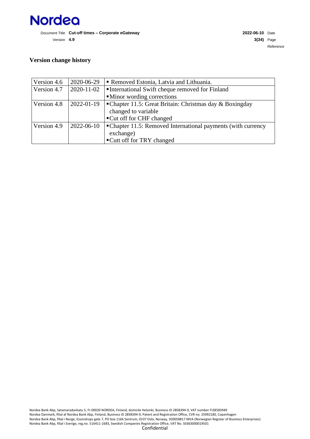

#### **Version change history**

| Version 4.6 | 2020-06-29 | Removed Estonia, Latvia and Lithuania.                        |
|-------------|------------|---------------------------------------------------------------|
| Version 4.7 | 2020-11-02 | International Swift cheque removed for Finland                |
|             |            | • Minor wording corrections                                   |
| Version 4.8 | 2022-01-19 | • Chapter 11.5: Great Britain: Christmas day $\&$ Boxingday   |
|             |            | changed to variable                                           |
|             |            | ■ Cut off for CHF changed                                     |
| Version 4.9 | 2022-06-10 | • Chapter 11.5: Removed International payments (with currency |
|             |            | exchange)                                                     |
|             |            | ■ Cutt off for TRY changed                                    |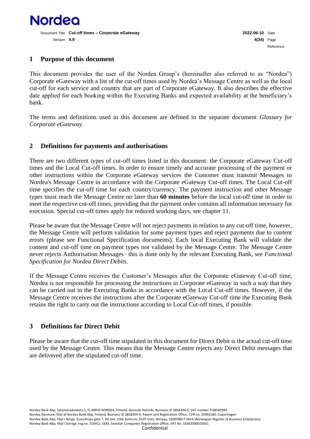

#### <span id="page-3-0"></span>**1 Purpose of this document**

This document provides the user of the Nordea Group's (hereinafter also referred to as "Nordea") Corporate eGateway with a list of the cut-off times used by Nordea's Message Centre as well as the local cut-off for each service and country that are part of Corporate eGateway. It also describes the effective date applied for each booking within the Executing Banks and expected availability at the beneficiary's bank.

<span id="page-3-1"></span>The terms and definitions used in this document are defined in the separate document *Glossary for Corporate eGateway*.

#### **2 Definitions for payments and authorisations**

There are two different types of cut-off times listed in this document: the Corporate eGateway Cut-off times and the Local Cut-off times. In order to ensure timely and accurate processing of the payment or other instructions within the Corporate eGateway services the Customer must transmit Messages to Nordea's Message Centre in accordance with the Corporate eGateway Cut-off times. The Local Cut-off time specifies the cut-off time for each country/currency. The payment instruction and other Message types must reach the Message Centre no later than **60 minutes** before the local cut-off time in order to meet the respective cut-off times, providing that the payment order contains all information necessary for execution. Special cut-off times apply for reduced working days, see chapter 11.

Please be aware that the Message Centre will not reject payments in relation to any cut-off time, however, the Message Centre will perform validation for some payment types and reject payments due to content errors (please see Functional Specification documents). Each local Executing Bank will validate the content and cut-off time on payment types not validated by the Message Centre. The Message Centre never rejects Authorisation Messages– this is done only by the relevant Executing Bank, see *Functional Specification for Nordea Direct Debits*.

If the Message Centre receives the Customer's Messages after the Corporate eGateway Cut-off time, Nordea is not responsible for processing the instructions in Corporate eGateway in such a way that they can be carried out in the Executing Banks in accordance with the Local Cut-off times. However, if the Message Centre receives the instructions after the Corporate eGateway Cut-off time the Executing Bank retains the right to carry out the instructions according to Local Cut-off times, if possible.

## <span id="page-3-2"></span>**3 Definitions for Direct Debit**

Please be aware that the cut-off time stipulated in this document for Direct Debit is the actual cut-off time used by the Message Centre. This means that the Message Centre rejects any Direct Debit messages that are delivered after the stipulated cut-off time.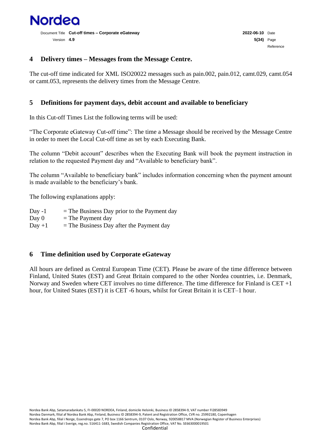

#### <span id="page-4-0"></span>**4 Delivery times – Messages from the Message Centre.**

The cut-off time indicated for XML ISO20022 messages such as pain.002, pain.012, camt.029, camt.054 or camt.053, represents the delivery times from the Message Centre.

#### <span id="page-4-1"></span>**5 Definitions for payment days, debit account and available to beneficiary**

In this Cut-off Times List the following terms will be used:

"The Corporate eGateway Cut-off time": The time a Message should be received by the Message Centre in order to meet the Local Cut-off time as set by each Executing Bank.

The column "Debit account" describes when the Executing Bank will book the payment instruction in relation to the requested Payment day and "Available to beneficiary bank".

The column "Available to beneficiary bank" includes information concerning when the payment amount is made available to the beneficiary's bank.

The following explanations apply:

| Day $-1$ | $=$ The Business Day prior to the Payment day |
|----------|-----------------------------------------------|
| Day 0    | $=$ The Payment day                           |
| $Day +1$ | $=$ The Business Day after the Payment day    |

#### <span id="page-4-2"></span>**6 Time definition used by Corporate eGateway**

All hours are defined as Central European Time (CET). Please be aware of the time difference between Finland, United States (EST) and Great Britain compared to the other Nordea countries, i.e. Denmark, Norway and Sweden where CET involves no time difference. The time difference for Finland is CET +1 hour, for United States (EST) it is CET -6 hours, whilst for Great Britain it is CET–1 hour.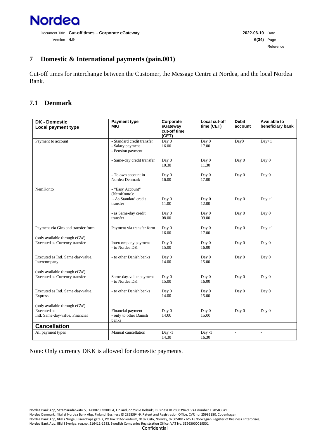

#### <span id="page-5-0"></span>**7 Domestic & International payments (pain.001)**

Cut-off times for interchange between the Customer, the Message Centre at Nordea, and the local Nordea Bank.

#### <span id="page-5-1"></span>**7.1 Denmark**

| <b>DK - Domestic</b><br>Local payment type                                            | <b>Payment type</b><br><b>MIG</b>                                   | Corporate<br>eGateway<br>cut-off time<br>(CET) | Local cut-off<br>time (CET) | <b>Debit</b><br>account  | <b>Available to</b><br>beneficiary bank |
|---------------------------------------------------------------------------------------|---------------------------------------------------------------------|------------------------------------------------|-----------------------------|--------------------------|-----------------------------------------|
| Payment to account                                                                    | - Standard credit transfer<br>- Salary payment<br>- Pension payment | Day 0<br>16.00                                 | Day 0<br>17.00              | Day <sub>0</sub>         | $Day+1$                                 |
|                                                                                       | - Same-day credit transfer                                          | Day 0<br>10.30                                 | Day 0<br>11.30              | Day 0                    | Day 0                                   |
|                                                                                       | - To own account in<br>Nordea Denmark                               | Day 0<br>16.00                                 | Day 0<br>17.00              | Day 0                    | Day 0                                   |
| NemKonto                                                                              | - "Easy Account"<br>(NemKonto):<br>- As Standard credit             | Day 0                                          | Day 0                       | Day 0                    | $Day +1$                                |
|                                                                                       | transfer                                                            | 11.00                                          | 12.00                       |                          |                                         |
|                                                                                       | - as Same-day credit<br>transfer                                    | Day 0<br>08.00                                 | Day 0<br>09.00              | Day 0                    | Day 0                                   |
| Payment via Giro and transfer form                                                    | Payment via transfer form                                           | Day 0<br>16.00                                 | Day 0<br>17.00              | Day 0                    | $Day +1$                                |
| (only available through eGW)<br>Executed as Currency transfer                         | Intercompany payment<br>- to Nordea DK                              | Day 0<br>15.00                                 | Day 0<br>16.00              | Day 0                    | Day 0                                   |
| Executed as Intl. Same-day-value,<br>Intercompany                                     | - to other Danish banks                                             | Day 0<br>14.00                                 | Day 0<br>15.00              | Day 0                    | Day 0                                   |
| (only available through eGW)<br>Executed as Currency transfer                         | Same-day-value payment<br>- to Nordea DK                            | Day 0<br>15.00                                 | Day 0<br>16.00              | Day 0                    | Day 0                                   |
| Executed as Intl. Same-day-value,<br><b>Express</b>                                   | - to other Danish banks                                             | Day 0<br>14.00                                 | Day 0<br>15.00              | Day 0                    | Day 0                                   |
| (only available through eGW)<br><b>Executed</b> as<br>Intl. Same-day-value, Financial | Financial payment<br>- only to other Danish<br>banks                | Day 0<br>14:00                                 | Day 0<br>15:00              | Day 0                    | Day 0                                   |
| <b>Cancellation</b>                                                                   |                                                                     |                                                |                             |                          |                                         |
| All payment types                                                                     | Manual cancellation                                                 | $Day -1$<br>14.30                              | $Day -1$<br>16.30           | $\overline{\phantom{a}}$ | $\overline{\phantom{a}}$                |

Note: Only currency DKK is allowed for domestic payments.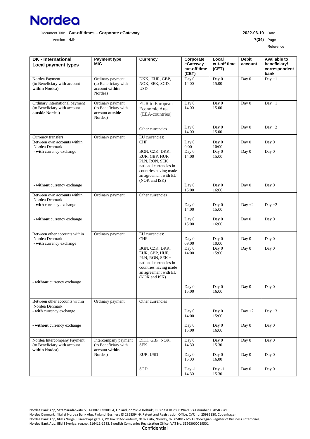

Version **4.9 7(34)** Page

Reference

| <b>DK</b> - International<br><b>Local payment types</b>                           | <b>Payment type</b><br>MIG                                             | <b>Currency</b>                                                                                                                                 | Corporate<br>eGateway<br>cut-off time<br>(CET) | Local<br>cut-off time<br>(CET) | <b>Debit</b><br>account | <b>Available to</b><br>beneficiary/<br>correspondent<br>bank |
|-----------------------------------------------------------------------------------|------------------------------------------------------------------------|-------------------------------------------------------------------------------------------------------------------------------------------------|------------------------------------------------|--------------------------------|-------------------------|--------------------------------------------------------------|
| Nordea Payment<br>(to Beneficiary with account<br>within Nordea)                  | Ordinary payment<br>(to Beneficiary with<br>account within<br>Nordea)  | DKK, EUR, GBP,<br>NOK, SEK, SGD,<br><b>USD</b>                                                                                                  | Day 0<br>14.00                                 | Day 0<br>15.00                 | Day 0                   | $Day +1$                                                     |
| Ordinary international payment<br>(to Beneficiary with account<br>outside Nordea) | Ordinary payment<br>(to Beneficiary with<br>account outside<br>Nordea) | EUR to European<br>Economic Area<br>(EEA-countries)                                                                                             | Day 0<br>14.00                                 | Day 0<br>15.00                 | Day 0                   | $Day +1$                                                     |
|                                                                                   |                                                                        | Other currencies                                                                                                                                | Day 0<br>14.00                                 | Day 0<br>15.00                 | Day 0                   | Day $+2$                                                     |
| Currency transfers<br>Between own accounts within<br>Nordea Denmark               | Ordinary payment                                                       | EU currencies:<br><b>CHF</b>                                                                                                                    | Day 0<br>9:00                                  | Day 0<br>10:00                 | Day 0                   | Day 0                                                        |
| - with currency exchange                                                          |                                                                        | BGN, CZK, DKK,<br>EUR, GBP, HUF,<br>PLN, RON, SEK +<br>national currencies in<br>countries having made<br>an agreement with EU<br>(NOK and ISK) | Day 0<br>14:00                                 | Day 0<br>15:00                 | Day 0                   | Day 0                                                        |
| - without currency exchange                                                       |                                                                        |                                                                                                                                                 | Day 0<br>15:00                                 | Day 0<br>16:00                 | Day 0                   | Day 0                                                        |
| Between own accounts within<br>Nordea Denmark<br>- with currency exchange         | Ordinary payment                                                       | Other currencies                                                                                                                                | Day 0<br>14:00                                 | Day 0<br>15:00                 | Day $+2$                | Day $+2$                                                     |
| - without currency exchange                                                       |                                                                        |                                                                                                                                                 | Day 0<br>15:00                                 | Day 0<br>16:00                 | Day 0                   | Day 0                                                        |
| Between other accounts within<br>Nordea Denmark<br>- with currency exchange       | Ordinary payment                                                       | EU currencies:<br><b>CHF</b>                                                                                                                    | Day 0<br>09:00                                 | Day 0<br>10:00                 | Day 0                   | Day 0                                                        |
|                                                                                   |                                                                        | BGN, CZK, DKK,<br>EUR, GBP, HUF,<br>PLN, RON, SEK +<br>national currencies in<br>countries having made<br>an agreement with EU<br>(NOK and ISK) | Day 0<br>14:00                                 | Day 0<br>15:00                 | Day 0                   | Day 0                                                        |
| - without currency exchange                                                       |                                                                        |                                                                                                                                                 | Day 0<br>15:00                                 | Day 0<br>16:00                 | Day 0                   | Day 0                                                        |
| Between other accounts within<br>Nordea Denmark<br>- with currency exchange       | Ordinary payment                                                       | Other currencies                                                                                                                                | Day 0<br>14:00                                 | Day 0<br>15:00                 | Day $+2$                | Day $+3$                                                     |
| - without currency exchange                                                       |                                                                        |                                                                                                                                                 | Day 0<br>15:00                                 | Day 0<br>16:00                 | Day 0                   | Day 0                                                        |
| Nordea Intercompany Payment<br>(to Beneficiary with account<br>within Nordea)     | Intercompany payment<br>(to Beneficiary with<br>account within         | DKK, GBP, NOK,<br>SEK                                                                                                                           | Day 0<br>14.30                                 | Day 0<br>15.30                 | Day 0                   | Day 0                                                        |
|                                                                                   | Nordea)                                                                | EUR, USD                                                                                                                                        | Day 0<br>15.00                                 | Day 0<br>16.00                 | Day 0                   | Day 0                                                        |
|                                                                                   |                                                                        | SGD                                                                                                                                             | Day -1<br>14.30                                | $Day -1$<br>15.30              | Day 0                   | Day 0                                                        |

Nordea Bank Abp, Satamaradankatu 5, FI-00020 NORDEA, Finland, domicile Helsinki, Business ID 2858394-9, VAT number FI28583949 Nordea Danmark, filial af Nordea Bank Abp, Finland, Business ID 2858394-9, Patent and Registration Office, CVR no. 25992180, Copenhagen Nordea Bank Abp, filial i Norge, Essendrops gate 7, PO box 1166 Sentrum, 0107 Oslo, Norway, 920058817 MVA (Norwegian Register of Business Enterprises) Nordea Bank Abp, filial i Sverige, reg.no. 516411-1683, Swedish Companies Registration Office, VAT No. SE663000019501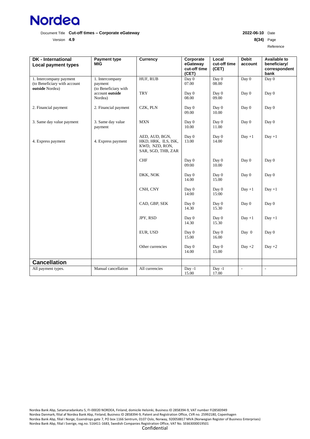

Version **4.9 8(34)** Page

Reference

| <b>DK</b> - International<br><b>Local payment types</b>                    | <b>Payment type</b><br><b>MIG</b>                  | <b>Currency</b>                                                               | Corporate<br>eGateway<br>cut-off time<br>(CET) | Local<br>cut-off time<br>(CET) | <b>Debit</b><br>account  | <b>Available to</b><br>beneficiary/<br>correspondent<br>bank |
|----------------------------------------------------------------------------|----------------------------------------------------|-------------------------------------------------------------------------------|------------------------------------------------|--------------------------------|--------------------------|--------------------------------------------------------------|
| 1. Intercompany payment<br>(to Beneficiary with account<br>outside Nordea) | 1. Intercompany<br>payment<br>(to Beneficiary with | HUF, RUB                                                                      | Day 0<br>07.00                                 | Day 0<br>08.00                 | Day 0                    | Day 0                                                        |
|                                                                            | account outside<br>Nordea)                         | <b>TRY</b>                                                                    | Day 0<br>08.00                                 | Day 0<br>09.00                 | Day 0                    | Day 0                                                        |
| 2. Financial payment                                                       | 2. Financial payment                               | CZK, PLN                                                                      | Day 0<br>09.00                                 | Day 0<br>10.00                 | Day 0                    | Day 0                                                        |
| 3. Same day value payment                                                  | 3. Same day value<br>payment                       | <b>MXN</b>                                                                    | Day 0<br>10.00                                 | Day 0<br>11.00                 | Day 0                    | Day 0                                                        |
| 4. Express payment                                                         | 4. Express payment                                 | AED, AUD, BGN,<br>HKD, HRK, ILS, ISK,<br>KWD, NZD, RON,<br>SAR, SGD, THB, ZAR | Day 0<br>13.00                                 | Day 0<br>14.00                 | $Day +1$                 | $Day +1$                                                     |
|                                                                            |                                                    | <b>CHF</b>                                                                    | Day 0<br>09:00                                 | Day 0<br>10.00                 | Day 0                    | Day 0                                                        |
|                                                                            |                                                    | DKK, NOK                                                                      | Day 0<br>14.00                                 | Day 0<br>15.00                 | Day 0                    | Day 0                                                        |
|                                                                            |                                                    | CNH, CNY                                                                      | Day 0<br>14:00                                 | Day 0<br>15:00                 | $Day +1$                 | $Day +1$                                                     |
|                                                                            |                                                    | CAD, GBP, SEK                                                                 | Day 0<br>14.30                                 | Day 0<br>15.30                 | Day 0                    | Day 0                                                        |
|                                                                            |                                                    | JPY, RSD                                                                      | Day 0<br>14.30                                 | Day 0<br>15.30                 | $Day +1$                 | $Day +1$                                                     |
|                                                                            |                                                    | EUR, USD                                                                      | Day 0<br>15.00                                 | Day 0<br>16.00                 | Day 0                    | Day 0                                                        |
|                                                                            |                                                    | Other currencies                                                              | Day 0<br>14.00                                 | Day 0<br>15.00                 | Day $+2$                 | Day $+2$                                                     |
| <b>Cancellation</b>                                                        |                                                    |                                                                               |                                                |                                |                          |                                                              |
| All payment types.                                                         | Manual cancellation                                | All currencies                                                                | $Day -1$<br>15.00                              | $Day -1$<br>17.00              | $\overline{\phantom{a}}$ | $\overline{\phantom{0}}$                                     |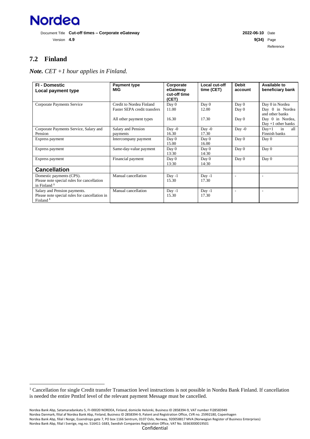

Version **4.9 9(34)** Page Reference

# <span id="page-8-0"></span>**7.2 Finland**

*Note. CET +1 hour applies in Finland.*

<span id="page-8-1"></span>

| <b>FI - Domestic</b><br>Local payment type                                                            | Payment type<br><b>MIG</b>                               | Corporate<br>eGateway<br>cut-off time<br>(CET) | Local cut-off<br>time (CET) | <b>Debit</b><br>account | <b>Available to</b><br>beneficiary bank               |
|-------------------------------------------------------------------------------------------------------|----------------------------------------------------------|------------------------------------------------|-----------------------------|-------------------------|-------------------------------------------------------|
| Corporate Payments Service                                                                            | Credit to Nordea Finland<br>Faster SEPA credit transfers | Day 0<br>11.00                                 | Day 0<br>12.00              | Day 0<br>Day 0          | Day 0 in Nordea<br>Day 0 in Nordea<br>and other banks |
|                                                                                                       | All other payment types                                  | 16.30                                          | 17.30                       | Day 0                   | Day 0 in Nordea,<br>$Day +1$ other banks              |
| Corporate Payments Service, Salary and<br>Pension                                                     | Salary and Pension<br>payments                           | Day -0<br>16.30                                | Day $-0$<br>17.30           | Day $-0$                | all<br>$Day+1$<br>in<br>Finnish banks                 |
| Express payment                                                                                       | Intercompany payment                                     | Day 0<br>15.00                                 | Day 0<br>16.00              | Day 0                   | Day 0                                                 |
| Express payment                                                                                       | Same-day-value payment                                   | Day 0<br>13:30                                 | Day 0<br>14:30              | Day 0                   | Day 0                                                 |
| Express payment                                                                                       | Financial payment                                        | Day 0<br>13:30                                 | Day 0<br>14:30              | Day 0                   | Day 0                                                 |
| <b>Cancellation</b>                                                                                   |                                                          |                                                |                             |                         |                                                       |
| Domestic payments (CPS).<br>Please note special rules for cancellation<br>in Finland <sup>1</sup>     | Manual cancellation                                      | $Day -1$<br>15.30                              | Day -1<br>17.30             |                         |                                                       |
| Salary and Pension payments.<br>Please note special rules for cancellation in<br>Finland <sup>1</sup> | Manual cancellation                                      | $Day -1$<br>15.30                              | $Day -1$<br>17.30           |                         |                                                       |

<sup>&</sup>lt;sup>1</sup> Cancellation for single Credit transfer Transaction level instructions is not possible in Nordea Bank Finland. If cancellation is needed the entire PmtInf level of the relevant payment Message must be cancelled.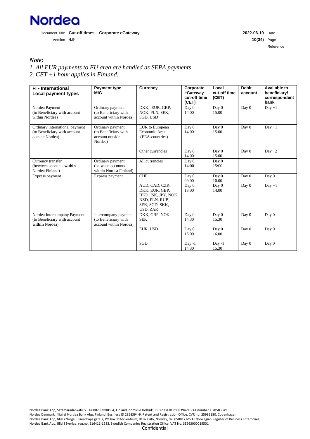

Reference

#### *Note:*

*1. All EUR payments to EU area are handled as SEPA payments 2. CET +1 hour applies in Finland.*

| <b>FI</b> - International<br>Local payment types                                  | <b>Payment type</b><br>MIG                                             | <b>Currency</b>                                                                                         | Corporate<br>eGateway<br>cut-off time<br>(CET) | Local<br>cut-off time<br>(CET) | <b>Debit</b><br>account | Available to<br>beneficiary/<br>correspondent<br>bank |
|-----------------------------------------------------------------------------------|------------------------------------------------------------------------|---------------------------------------------------------------------------------------------------------|------------------------------------------------|--------------------------------|-------------------------|-------------------------------------------------------|
| Nordea Payment<br>(to Beneficiary with account<br>within Nordea)                  | Ordinary payment<br>(to Beneficiary with<br>account within Nordea)     | DKK, EUR, GBP,<br>NOK, PLN, SEK,<br>SGD, USD                                                            | Day 0<br>14.00                                 | Day 0<br>15.00                 | Day 0                   | $Day +1$                                              |
| Ordinary international payment<br>(to Beneficiary with account<br>outside Nordea) | Ordinary payment<br>(to Beneficiary with<br>account outside<br>Nordea) | EUR to European<br>Economic Area<br>(EEA-countries)                                                     | Day 0<br>14.00                                 | Day 0<br>15.00                 | Day 0                   | $Day +1$                                              |
|                                                                                   |                                                                        | Other currencies                                                                                        | Day 0<br>14.00                                 | Day 0<br>15.00                 | Day 0                   | $Day +2$                                              |
| Currency transfer<br>(between accounts within<br>Nordea Finland)                  | Ordinary payment<br>(between accounts)<br>within Nordea Finland)       | All currencies                                                                                          | Day 0<br>14:00                                 | Day 0<br>15:00                 |                         |                                                       |
| Express payment                                                                   | Express payment                                                        | <b>CHF</b>                                                                                              | Day 0<br>09.00                                 | Day 0<br>10.00                 | Day 0                   | Day 0                                                 |
|                                                                                   |                                                                        | AUD, CAD, CZK,<br>DKK, EUR, GBP,<br>HKD, ISK, JPY, NOK,<br>NZD, PLN, RUB,<br>SEK, SGD, SKK,<br>USD, ZAR | Day 0<br>13.00                                 | Day 0<br>14.00                 | Day 0                   | $Day +1$                                              |
| Nordea Intercompany Payment<br>(to Beneficiary with account<br>within Nordea)     | Intercompany payment<br>(to Beneficiary with<br>account within Nordea) | DKK, GBP, NOK,<br><b>SEK</b>                                                                            | Day 0<br>14.30                                 | Day 0<br>15.30                 | Day 0                   | Day 0                                                 |
|                                                                                   |                                                                        | EUR, USD                                                                                                | Day 0<br>15.00                                 | Day 0<br>16.00                 | Day 0                   | Day 0                                                 |
|                                                                                   |                                                                        | SGD                                                                                                     | $Day -1$<br>14.30                              | $Day -1$<br>15.30              | Day 0                   | Day 0                                                 |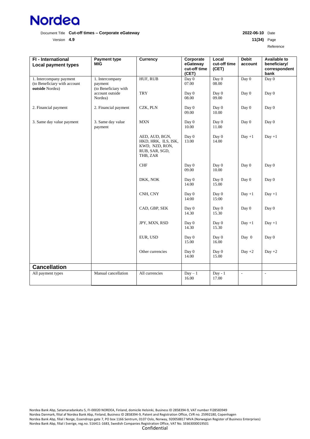

Version **4.9 11(34)** Page

Reference

| FI - International<br><b>Local payment types</b>                           | <b>Payment type</b><br><b>MIG</b>                  | <b>Currency</b>                                                                       | Corporate<br>eGateway<br>cut-off time<br>(CET) | Local<br>cut-off time<br>(CET) | <b>Debit</b><br>account | <b>Available to</b><br>beneficiary/<br>correspondent<br>bank |
|----------------------------------------------------------------------------|----------------------------------------------------|---------------------------------------------------------------------------------------|------------------------------------------------|--------------------------------|-------------------------|--------------------------------------------------------------|
| 1. Intercompany payment<br>(to Beneficiary with account<br>outside Nordea) | 1. Intercompany<br>payment<br>(to Beneficiary with | HUF, RUB                                                                              | Day 0<br>07.00                                 | Day $0$<br>08.00               | Day 0                   | Day 0                                                        |
|                                                                            | account outside<br>Nordea)                         | <b>TRY</b>                                                                            | Day 0<br>08.00                                 | Day 0<br>09.00                 | Day 0                   | Day 0                                                        |
| 2. Financial payment                                                       | 2. Financial payment                               | CZK, PLN                                                                              | Day 0<br>09.00                                 | Day 0<br>10.00                 | Day 0                   | Day 0                                                        |
| 3. Same day value payment                                                  | 3. Same day value<br>payment                       | <b>MXN</b>                                                                            | Day 0<br>10.00                                 | Day 0<br>11.00                 | Day 0                   | Day 0                                                        |
|                                                                            |                                                    | AED, AUD, BGN,<br>HKD, HRK, ILS, ISK,<br>KWD, NZD, RON,<br>RUB, SAR, SGD,<br>THB, ZAR | Day 0<br>13.00                                 | Day 0<br>14.00                 | $Day +1$                | $Day +1$                                                     |
|                                                                            |                                                    | CHF                                                                                   | Day 0<br>09.00                                 | Day 0<br>10.00                 | Day 0                   | Day 0                                                        |
|                                                                            |                                                    | DKK, NOK                                                                              | Day 0<br>14.00                                 | Day 0<br>15.00                 | Day 0                   | Day 0                                                        |
|                                                                            |                                                    | CNH, CNY                                                                              | Day 0<br>14:00                                 | Day 0<br>15:00                 | $Day +1$                | $Day +1$                                                     |
|                                                                            |                                                    | CAD, GBP, SEK                                                                         | Day 0<br>14.30                                 | Day 0<br>15.30                 | Day 0                   | Day 0                                                        |
|                                                                            |                                                    | JPY, MXN, RSD                                                                         | Day 0<br>14.30                                 | Day 0<br>15.30                 | $Day +1$                | $Day +1$                                                     |
|                                                                            |                                                    | EUR, USD                                                                              | Day 0<br>15.00                                 | Day 0<br>16.00                 | Day 0                   | Day 0                                                        |
|                                                                            |                                                    | Other currencies                                                                      | Day 0<br>14.00                                 | Day 0<br>15.00                 | Day $+2$                | $Day +2$                                                     |
| <b>Cancellation</b>                                                        |                                                    |                                                                                       |                                                |                                |                         |                                                              |
| All payment types                                                          | Manual cancellation                                | All currencies                                                                        | $Day - 1$<br>16.00                             | $Day - 1$<br>17.00             | $\frac{1}{2}$           | $\omega$                                                     |

Nordea Bank Abp, Satamaradankatu 5, FI-00020 NORDEA, Finland, domicile Helsinki, Business ID 2858394-9, VAT number FI28583949 Nordea Danmark, filial af Nordea Bank Abp, Finland, Business ID 2858394-9, Patent and Registration Office, CVR no. 25992180, Copenhagen Nordea Bank Abp, filial i Norge, Essendrops gate 7, PO box 1166 Sentrum, 0107 Oslo, Norway, 920058817 MVA (Norwegian Register of Business Enterprises) Nordea Bank Abp, filial i Sverige, reg.no. 516411-1683, Swedish Companies Registration Office, VAT No. SE663000019501 Confidential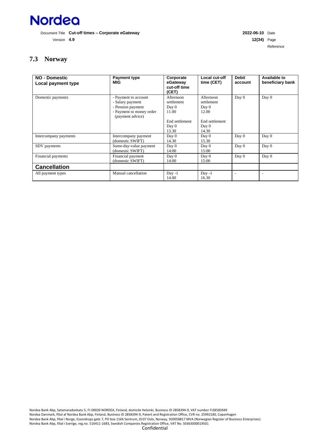

Version **4.9 12(34)** Page Reference

# <span id="page-11-0"></span>**7.3 Norway**

| <b>NO - Domestic</b><br>Local payment type | <b>Payment type</b><br><b>MIG</b>                                                                             | Corporate<br>eGateway<br>cut-off time<br>(CET)                                | Local cut-off<br>time (CET)                                                   | <b>Debit</b><br>account | <b>Available to</b><br>beneficiary bank |
|--------------------------------------------|---------------------------------------------------------------------------------------------------------------|-------------------------------------------------------------------------------|-------------------------------------------------------------------------------|-------------------------|-----------------------------------------|
| Domestic payments                          | - Payment to account<br>- Salary payment<br>- Pension payment<br>- Payment to money order<br>(payment advice) | Afternoon<br>settlement<br>Day 0<br>11.00<br>End settlement<br>Day 0<br>13.30 | Afternoon<br>settlement<br>Day 0<br>12.00<br>End settlement<br>Day 0<br>14.30 | Day 0                   | Day 0                                   |
| Intercompany payments                      | Intercompany payment<br>(domestic SWIFT)                                                                      | Day 0<br>14.30                                                                | Day 0<br>15.30                                                                | Day 0                   | Day 0                                   |
| SDV payments                               | Same-day-value payment<br>(domestic SWIFT)                                                                    | Day 0<br>14:00                                                                | Day 0<br>15:00                                                                | Day 0                   | Day 0                                   |
| Financial payments                         | Financial payment<br>(domestic SWIFT)                                                                         | Day 0<br>14:00                                                                | Day 0<br>15:00                                                                | Day 0                   | Day 0                                   |
| <b>Cancellation</b>                        |                                                                                                               |                                                                               |                                                                               |                         |                                         |
| All payment types                          | Manual cancellation                                                                                           | $Day -1$<br>14.00                                                             | $Day -1$<br>16.30                                                             |                         |                                         |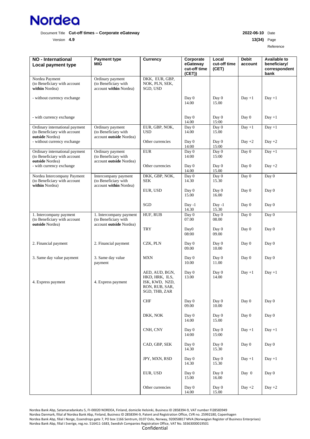

Version **4.9 13(34)** Page

Reference

| <b>NO</b> - International<br>Local payment type                                   | <b>Payment type</b><br><b>MIG</b>                                          | <b>Currency</b>                                                                       | Corporate<br>eGateway<br>cut-off time<br>(CET) | Local<br>cut-off time<br>(CET) | <b>Debit</b><br>account | <b>Available to</b><br>beneficiary/<br>correspondent<br>bank |
|-----------------------------------------------------------------------------------|----------------------------------------------------------------------------|---------------------------------------------------------------------------------------|------------------------------------------------|--------------------------------|-------------------------|--------------------------------------------------------------|
| Nordea Payment<br>(to Beneficiary with account<br>within Nordea)                  | Ordinary payment<br>(to Beneficiary with<br>account within Nordea)         | DKK, EUR, GBP,<br>NOK, PLN, SEK,<br>SGD, USD                                          |                                                |                                |                         |                                                              |
| - without currency exchange                                                       |                                                                            |                                                                                       | Day 0<br>14.00                                 | Day 0<br>15.00                 | $Day +1$                | $Day +1$                                                     |
| - with currency exchange                                                          |                                                                            |                                                                                       | Day 0<br>14.00                                 | Day 0<br>15:00                 | Day 0                   | $Day +1$                                                     |
| Ordinary international payment<br>(to Beneficiary with account<br>outside Nordea) | Ordinary payment<br>(to Beneficiary with<br>account outside Nordea)        | EUR, GBP, NOK,<br><b>USD</b>                                                          | Day 0<br>14.00                                 | Day 0<br>15.00                 | $Day +1$                | $Day +1$                                                     |
| - without currency exchange                                                       |                                                                            | Other currencies                                                                      | Day 0<br>14:00                                 | Day 0<br>15:00                 | Day $+2$                | Day $+2$                                                     |
| Ordinary international payment<br>(to Beneficiary with account<br>outside Nordea) | Ordinary payment<br>(to Beneficiary with<br>account outside Nordea)        | <b>EUR</b>                                                                            | Day 0<br>14:00                                 | Day 0<br>15:00                 | Day 0                   | $Day +1$                                                     |
| - with currency exchange                                                          |                                                                            | Other currencies                                                                      | Day 0<br>14.00                                 | Day 0<br>15.00                 | Day 0                   | Day $+2$                                                     |
| Nordea Intercompany Payment<br>(to Beneficiary with account<br>within Nordea)     | Intercompany payment<br>(to Beneficiary with<br>account within Nordea)     | DKK, GBP, NOK,<br><b>SEK</b>                                                          | Day 0<br>14.30                                 | Day 0<br>15.30                 | Day 0                   | Day 0                                                        |
|                                                                                   |                                                                            | EUR, USD                                                                              | Day 0<br>15.00                                 | Day 0<br>16.00                 | Day 0                   | Day 0                                                        |
|                                                                                   |                                                                            | SGD                                                                                   | $Day -1$<br>14.30                              | $Day -1$<br>15.30              | Day 0                   | Day 0                                                        |
| 1. Intercompany payment<br>(to Beneficiary with account<br>outside Nordea)        | 1. Intercompany payment<br>(to Beneficiary with<br>account outside Nordea) | HUF, RUB                                                                              | Day 0<br>07.00                                 | Day 0<br>08.00                 | Day 0                   | Day 0                                                        |
|                                                                                   |                                                                            | <b>TRY</b>                                                                            | Day0<br>08:00                                  | Day 0<br>09.00                 | Day 0                   | Day 0                                                        |
| 2. Financial payment                                                              | 2. Financial payment                                                       | CZK, PLN                                                                              | Day 0<br>09.00                                 | Day 0<br>10.00                 | Day 0                   | Day 0                                                        |
| 3. Same day value payment                                                         | 3. Same day value<br>payment                                               | <b>MXN</b>                                                                            | Day 0<br>10.00                                 | Day 0<br>11.00                 | Day 0                   | Day 0                                                        |
| 4. Express payment                                                                | 4. Express payment                                                         | AED, AUD, BGN,<br>HKD, HRK, ILS,<br>ISK, KWD, NZD,<br>RON, RUB, SAR,<br>SGD, THB, ZAR | Day 0<br>13.00                                 | Day 0<br>14.00                 | $Day +1$                | $Day +1$                                                     |
|                                                                                   |                                                                            | ${\rm CHF}$                                                                           | Day 0<br>09.00                                 | Day 0<br>10.00                 | Day 0                   | Day 0                                                        |
|                                                                                   |                                                                            | DKK, NOK                                                                              | Day 0<br>14.00                                 | Day 0<br>15.00                 | Day 0                   | Day 0                                                        |
|                                                                                   |                                                                            | CNH, CNY                                                                              | Day 0<br>14:00                                 | Day 0<br>15:00                 | $Day +1$                | $Day +1$                                                     |
|                                                                                   |                                                                            | CAD, GBP, SEK                                                                         | Day 0<br>14.30                                 | Day 0<br>15.30                 | Day 0                   | Day 0                                                        |
|                                                                                   |                                                                            | JPY, MXN, RSD                                                                         | Day 0<br>14.30                                 | Day 0<br>15.30                 | $Day +1$                | $Day +1$                                                     |
|                                                                                   |                                                                            | EUR, USD                                                                              | Day 0<br>15.00                                 | Day 0<br>16.00                 | Day 0                   | Day 0                                                        |
|                                                                                   |                                                                            | Other currencies                                                                      | Day 0<br>14.00                                 | Day 0<br>15.00                 | Day $+2$                | Day $+2$                                                     |

Nordea Bank Abp, Satamaradankatu 5, FI-00020 NORDEA, Finland, domicile Helsinki, Business ID 2858394-9, VAT number FI28583949 Nordea Danmark, filial af Nordea Bank Abp, Finland, Business ID 2858394-9, Patent and Registration Office, CVR no. 25992180, Copenhagen Nordea Bank Abp, filial i Norge, Essendrops gate 7, PO box 1166 Sentrum, 0107 Oslo, Norway, 920058817 MVA (Norwegian Register of Business Enterprises) Nordea Bank Abp, filial i Sverige, reg.no. 516411-1683, Swedish Companies Registration Office, VAT No. SE663000019501 Confidential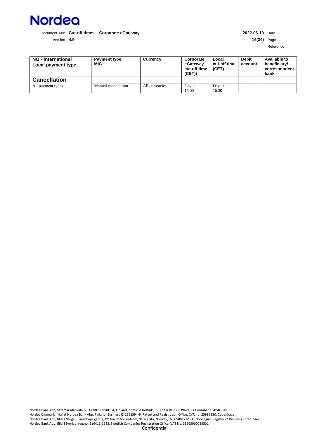

Version **4.9 14(34)** Page

Reference

| NO - International<br>Local payment type | <b>Payment type</b><br>MIG | Currency       | Corporate<br>eGateway<br>cut-off time<br>(CET) | Local<br>cut-off time<br>(CET) | <b>Debit</b><br>account | Available to<br>beneficiary/<br>correspondent<br>bank |
|------------------------------------------|----------------------------|----------------|------------------------------------------------|--------------------------------|-------------------------|-------------------------------------------------------|
| <b>Cancellation</b>                      |                            |                |                                                |                                |                         |                                                       |
| All payment types                        | Manual cancellation        | All currencies | Day -1<br>15.00                                | Day -1<br>16.30                |                         |                                                       |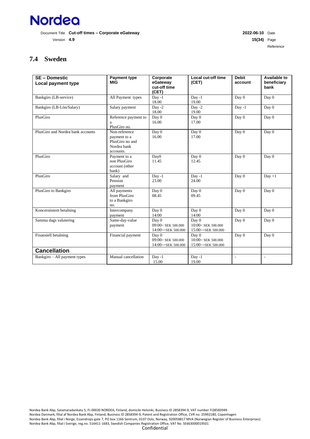

Version **4.9 15(34)** Page Reference

# <span id="page-14-0"></span>**7.4 Sweden**

| <b>SE-Domestic</b><br>Local payment type | <b>Payment type</b><br><b>MIG</b>                                            | Corporate<br>eGateway<br>cut-off time<br>(CET)                | Local cut-off time<br>(CET)                           | <b>Debit</b><br>account | Available to<br>beneficiary<br>bank |
|------------------------------------------|------------------------------------------------------------------------------|---------------------------------------------------------------|-------------------------------------------------------|-------------------------|-------------------------------------|
| Bankgiro (LB-service)                    | All Payment types                                                            | $Day -1$<br>18.00                                             | $Day -1$<br>19.00                                     | Day 0                   | Day 0                               |
| Bankgiro (LB-Lön/Salary)                 | Salary payment                                                               | Day $-2$<br>18.00                                             | Day -2<br>19.00                                       | $Day -1$                | Day 0                               |
| PlusGiro                                 | Reference payment to<br>a<br>PlusGiro no.                                    | Day 0<br>16.00                                                | Day 0<br>17.00                                        | Day 0                   | Day 0                               |
| PlusGiro and Nordea bank accounts        | Non-reference<br>payment to a<br>PlusGiro no and<br>Nordea bank<br>accounts. | Day 0<br>16.00                                                | Day 0<br>17.00                                        | Day 0                   | Day 0                               |
| PlusGiro                                 | Payment to a<br>non PlusGiro<br>account (other<br>bank)                      | Day <sub>0</sub><br>11.45                                     | Day 0<br>12.45                                        | Day 0                   | Day 0                               |
| PlusGiro                                 | Salary and<br>Pension<br>payment                                             | $Day -1$<br>23.00                                             | $Day -1$<br>24.00                                     | Day 0                   | $Day +1$                            |
| PlusGiro to Bankgiro                     | All payments<br>from PlusGiro<br>to a Bankgiro<br>no.                        | Day 0<br>08.45                                                | Day 0<br>09.45                                        | Day 0                   | Day 0                               |
| Koncernintern betalning                  | Intercompany<br>payment                                                      | Day 0<br>14:00                                                | Day 0<br>14:00                                        | Day 0                   | Day 0                               |
| Samma dags valutering                    | Same-day-value<br>payment                                                    | Day 0<br>09:00 <sek 500.000<br="">14:00&gt;=SEK 500.000</sek> | Day 0<br>$10:00<$ SEK 500.000<br>15:00 >= SEK 500.000 | Day 0                   | Day 0                               |
| Finansiell betalning                     | Financial payment                                                            | Day 0<br>09:00< SEK 500.000<br>14:00>=SEK 500.000             | Day 0<br>$10:00<$ SEK 500.000<br>15:00>=SEK 500.000   | Day 0                   | Day 0                               |
| <b>Cancellation</b>                      |                                                                              |                                                               |                                                       |                         |                                     |
| Bankgiro – All payment types             | Manual cancellation                                                          | $Day -1$<br>15.00                                             | $Day -1$<br>19.00                                     | ÷,                      | $\blacksquare$                      |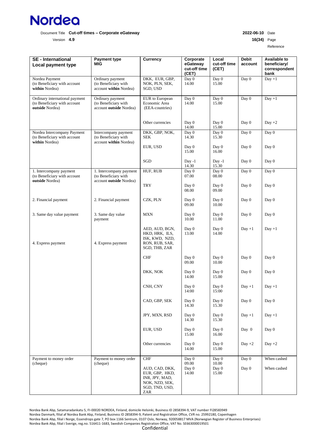

Version **4.9 16(34)** Page

Reference

| <b>SE</b> - International<br>Local payment type                                   | <b>Payment type</b><br>MIG                                                 | <b>Currency</b>                                                                               | Corporate<br>eGateway<br>cut-off time<br>(CET) | Local<br>cut-off time<br>(CET) | <b>Debit</b><br>account | <b>Available to</b><br>beneficiary/<br>correspondent<br>bank |
|-----------------------------------------------------------------------------------|----------------------------------------------------------------------------|-----------------------------------------------------------------------------------------------|------------------------------------------------|--------------------------------|-------------------------|--------------------------------------------------------------|
| Nordea Payment<br>(to Beneficiary with account<br>within Nordea)                  | Ordinary payment<br>(to Beneficiary with<br>account within Nordea)         | DKK, EUR, GBP,<br>NOK, PLN, SEK,<br>SGD, USD                                                  | Day 0<br>14.00                                 | Day 0<br>15.00                 | Day 0                   | $Day +1$                                                     |
| Ordinary international payment<br>(to Beneficiary with account<br>outside Nordea) | Ordinary payment<br>(to Beneficiary with<br>account outside Nordea)        | EUR to European<br>Economic Area<br>(EEA-countries)                                           | Day 0<br>14.00                                 | Day 0<br>15.00                 | Day 0                   | $Day +1$                                                     |
|                                                                                   |                                                                            | Other currencies                                                                              | Day 0<br>14.00                                 | Day 0<br>15.00                 | Day 0                   | $Day +2$                                                     |
| Nordea Intercompany Payment<br>(to Beneficiary with account<br>within Nordea)     | Intercompany payment<br>(to Beneficiary with<br>account within Nordea)     | DKK, GBP, NOK,<br><b>SEK</b>                                                                  | Day 0<br>14.30                                 | Day 0<br>15.30                 | Day 0                   | Day 0                                                        |
|                                                                                   |                                                                            | EUR, USD                                                                                      | Day 0<br>15.00                                 | Day 0<br>16.00                 | Day 0                   | Day 0                                                        |
|                                                                                   |                                                                            | SGD                                                                                           | $Day -1$<br>14.30                              | $Day -1$<br>15.30              | Day 0                   | Day 0                                                        |
| 1. Intercompany payment<br>(to Beneficiary with account<br>outside Nordea)        | 1. Intercompany payment<br>(to Beneficiary with<br>account outside Nordea) | HUF, RUB                                                                                      | Day 0<br>07.00                                 | Day $\overline{0}$<br>08.00    | Day 0                   | Day 0                                                        |
|                                                                                   |                                                                            | <b>TRY</b>                                                                                    | Day 0<br>08.00                                 | Day 0<br>09.00                 | Day 0                   | Day 0                                                        |
| 2. Financial payment                                                              | 2. Financial payment                                                       | CZK, PLN                                                                                      | Day 0<br>09.00                                 | Day 0<br>10.00                 | Day 0                   | Day 0                                                        |
| 3. Same day value payment                                                         | 3. Same day value<br>payment                                               | <b>MXN</b>                                                                                    | Day 0<br>10.00                                 | Day 0<br>11.00                 | Day 0                   | Day 0                                                        |
| 4. Express payment                                                                | 4. Express payment                                                         | AED, AUD, BGN,<br>HKD, HRK, ILS,<br>ISK, KWD, NZD,<br>RON, RUB, SAR,<br>SGD, THB, ZAR         | Day 0<br>13.00                                 | Day 0<br>14.00                 | $Day +1$                | $Day +1$                                                     |
|                                                                                   |                                                                            | <b>CHF</b>                                                                                    | Day 0<br>09.00                                 | Day 0<br>10.00                 | Day 0                   | Day 0                                                        |
|                                                                                   |                                                                            | DKK, NOK                                                                                      | Day 0<br>14.00                                 | Day 0<br>15.00                 | Day 0                   | Day 0                                                        |
|                                                                                   |                                                                            | CNH, CNY                                                                                      | Day 0<br>14:00                                 | Day 0<br>15:00                 | $Day +1$                | $Day +1$                                                     |
|                                                                                   |                                                                            | CAD, GBP, SEK                                                                                 | Day 0<br>14.30                                 | Day 0<br>15.30                 | Day 0                   | Day 0                                                        |
|                                                                                   |                                                                            | JPY, MXN, RSD                                                                                 | Day 0<br>14.30                                 | Day 0<br>15.30                 | $Day +1$                | $Day +1$                                                     |
|                                                                                   |                                                                            | EUR, USD                                                                                      | Day 0<br>15.00                                 | Day 0<br>16.00                 | Day $0$                 | Day 0                                                        |
|                                                                                   |                                                                            | Other currencies                                                                              | Day 0<br>14.00                                 | Day 0<br>15.00                 | Day $+2$                | Day $+2$                                                     |
| Payment to money order                                                            | Payment to money order                                                     | CHF                                                                                           | Day 0                                          | Day 0                          | Day 0                   | When cashed                                                  |
| (cheque)                                                                          | (cheque)                                                                   | AUD, CAD, DKK,<br>EUR, GBP, HKD,<br>INR, JPY, MAD,<br>NOK, NZD, SEK,<br>SGD, TND, USD,<br>ZAR | 09.00<br>Day 0<br>14.00                        | 10.00<br>Day 0<br>15.00        | Day 0                   | When cashed                                                  |

Nordea Bank Abp, Satamaradankatu 5, FI-00020 NORDEA, Finland, domicile Helsinki, Business ID 2858394-9, VAT number FI28583949 Nordea Danmark, filial af Nordea Bank Abp, Finland, Business ID 2858394-9, Patent and Registration Office, CVR no. 25992180, Copenhagen Nordea Bank Abp, filial i Norge, Essendrops gate 7, PO box 1166 Sentrum, 0107 Oslo, Norway, 920058817 MVA (Norwegian Register of Business Enterprises) Nordea Bank Abp, filial i Sverige, reg.no. 516411-1683, Swedish Companies Registration Office, VAT No. SE663000019501 Confidential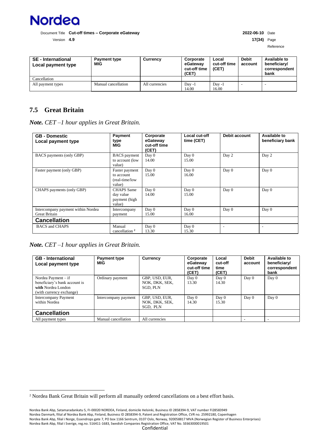

Version **4.9 17(34)** Page

| <b>SE</b> - International<br>Local payment type | <b>Payment type</b><br>MIG | Currency       | Corporate<br>eGateway<br>cut-off time<br>(CET) | Local<br>cut-off time<br>(CET) | <b>Debit</b><br>account | Available to<br>beneficiary/<br>correspondent<br>bank |
|-------------------------------------------------|----------------------------|----------------|------------------------------------------------|--------------------------------|-------------------------|-------------------------------------------------------|
| Cancellation                                    |                            |                |                                                |                                |                         |                                                       |
| All payment types                               | Manual cancellation        | All currencies | $Day -1$                                       | $Day -1$                       |                         | ۰                                                     |
|                                                 |                            |                | 14.00                                          | 16.00                          |                         |                                                       |

# <span id="page-16-0"></span>**7.5 Great Britain**

*Note. CET –1 hour applies in Great Britain.*

| <b>GB - Domestic</b><br>Local payment type                 | Payment<br>type<br><b>MIG</b>                             | Corporate<br>eGateway<br>cut-off time<br>(CET) | Local cut-off<br>time (CET) | Debit account | Available to<br>beneficiary bank |
|------------------------------------------------------------|-----------------------------------------------------------|------------------------------------------------|-----------------------------|---------------|----------------------------------|
| BACS payments (only GBP)                                   | <b>BACS</b> payment<br>to account (low<br>value)          | Day 0<br>14.00                                 | Day 0<br>15.00              | Day 2         | Day 2                            |
| Faster payment (only GBP)                                  | Faster payment<br>to account<br>(real-time/low<br>value)  | Day 0<br>15.00                                 | Day 0<br>16.00              | Day 0         | Day 0                            |
| CHAPS payments (only GBP)                                  | <b>CHAPS</b> Same<br>day value<br>payment (high<br>value) | Day 0<br>14.00                                 | Day 0<br>15.00              | Day 0         | Day 0                            |
| Intercompany payment within Nordea<br><b>Great Britain</b> | Intercompany<br>payment                                   | Day 0<br>15.00                                 | Day 0<br>16.00              | Day 0         | Day 0                            |
| <b>Cancellation</b>                                        |                                                           |                                                |                             |               |                                  |
| <b>BACS</b> and <b>CHAPS</b>                               | Manual<br>cancellation <sup>2</sup>                       | Day 0<br>13.30                                 | Day 0<br>15.30              | ٠             | ٠                                |

*Note. CET –1 hour applies in Great Britain.*

| <b>GB</b> - International<br>Local payment type                                                          | <b>Payment type</b><br>MIG | Currency                                            | Corporate<br>eGateway<br>cut-off time<br>(CET) | Local<br>cut-off<br>time<br>(CET) | <b>Debit</b><br>account | Available to<br>beneficiary/<br>correspondent<br>bank |
|----------------------------------------------------------------------------------------------------------|----------------------------|-----------------------------------------------------|------------------------------------------------|-----------------------------------|-------------------------|-------------------------------------------------------|
| Nordea Payment $-$ if<br>beneficiary's bank account is<br>with Nordea London<br>(with currency exchange) | Ordinary payment           | GBP, USD, EUR,<br>NOK, DKK, SEK,<br><b>SGD, PLN</b> | Day 0<br>13.30                                 | Day 0<br>14.30                    | Day 0                   | Day 0                                                 |
| <b>Intercompany Payment</b><br>within Nordea                                                             | Intercompany payment       | GBP, USD, EUR,<br>NOK, DKK, SEK,<br>SGD, PLN        | Day 0<br>14.30                                 | Day 0<br>15.30                    | Day 0                   | Day 0                                                 |
| <b>Cancellation</b>                                                                                      |                            |                                                     |                                                |                                   |                         |                                                       |
| All payment types                                                                                        | Manual cancellation        | All currencies                                      |                                                |                                   |                         |                                                       |

<sup>2</sup> Nordea Bank Great Britain will perform all manually ordered cancellations on a best effort basis.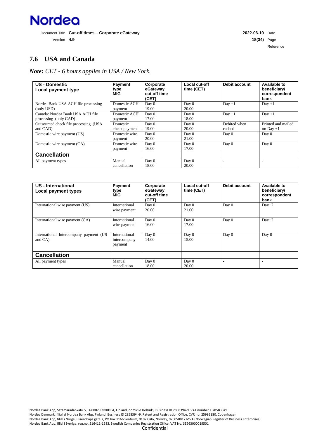

Version **4.9 18(34)** Page Reference

# <span id="page-17-0"></span>**7.6 USA and Canada**

*Note: CET - 6 hours applies in USA / New York.*

| <b>US - Domestic</b><br>Local payment type                | Payment<br>type<br>MIG    | Corporate<br>eGateway<br>cut-off time<br>(CET) | Local cut-off<br>time (CET) | Debit account          | Available to<br>beneficiary/<br>correspondent<br>bank |
|-----------------------------------------------------------|---------------------------|------------------------------------------------|-----------------------------|------------------------|-------------------------------------------------------|
| Nordea Bank USA ACH file processing<br>(only USD)         | Domestic ACH<br>payment   | Day 0<br>19.00                                 | Day 0<br>20.00              | $Day +1$               | $Day +1$                                              |
| Canada: Nordea Bank USA ACH file<br>processing (only CAD) | Domestic ACH<br>payment   | Day 0<br>17.00                                 | Day 0<br>18.00              | $Day +1$               | $Day +1$                                              |
| Outsourced check file processing (USA)<br>and CAD)        | Domestic<br>check payment | Day 0<br>19.00                                 | Day 0<br>20.00              | Debited when<br>cashed | Printed and mailed<br>on Day $+1$                     |
| Domestic wire payment (US)                                | Domestic wire<br>payment  | Day 0<br>20.00                                 | Day 0<br>21.00              | Day 0                  | Day 0                                                 |
| Domestic wire payment (CA)                                | Domestic wire<br>payment  | Day 0<br>16.00                                 | Day 0<br>17.00              | Day 0                  | Day 0                                                 |
| <b>Cancellation</b>                                       |                           |                                                |                             |                        |                                                       |
| All payment types                                         | Manual<br>cancellation    | Day 0<br>18.00                                 | Day 0<br>20.00              |                        |                                                       |

| US - International<br>Local payment types         | Payment<br>type<br><b>MIG</b>            | Corporate<br>eGateway<br>cut-off time<br>(CET) | Local cut-off<br>time (CET) | Debit account | <b>Available to</b><br>beneficiary/<br>correspondent<br>bank |
|---------------------------------------------------|------------------------------------------|------------------------------------------------|-----------------------------|---------------|--------------------------------------------------------------|
| International wire payment (US)                   | International<br>wire payment            | Day 0<br>20.00                                 | Day 0<br>21.00              | Day 0         | $Day+2$                                                      |
| International wire payment (CA)                   | International<br>wire payment            | Day 0<br>16.00                                 | Day 0<br>17.00              | Day 0         | $Day+2$                                                      |
| International Intercompany payment (US<br>and CA) | International<br>intercompany<br>payment | Day 0<br>14.00                                 | Day 0<br>15.00              | Day 0         | Day 0                                                        |
| <b>Cancellation</b>                               |                                          |                                                |                             |               |                                                              |
| All payment types                                 | Manual<br>cancellation                   | Day 0<br>18.00                                 | Day 0<br>20.00              |               |                                                              |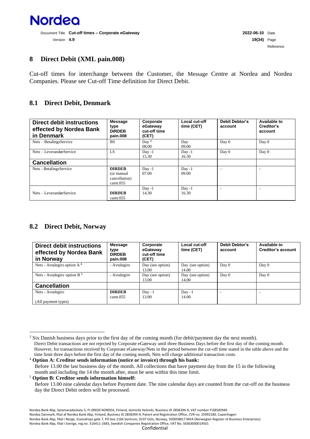

#### <span id="page-18-0"></span>**8 Direct Debit (XML pain.008)**

Cut-off times for interchange between the Customer, the Message Centre at Nordea and Nordea Companies. Please see Cut-off Time definition for Direct Debit.

#### <span id="page-18-1"></span>**8.1 Direct Debit, Denmark**

| <b>Direct debit instructions</b><br>effected by Nordea Bank<br>in Denmark | <b>Message</b><br>type<br><b>DIRDEB</b><br>pain.008       | Corporate<br>eGateway<br>cut-off time<br>(CET) | Local cut-off<br>time (CET) | <b>Debit Debtor's</b><br>account | Available to<br>Creditor's<br>account |
|---------------------------------------------------------------------------|-----------------------------------------------------------|------------------------------------------------|-----------------------------|----------------------------------|---------------------------------------|
| Nets – BetalingsService                                                   | <b>BS</b>                                                 | Day <sup>3</sup><br>08.00                      | Day<br>09.00                | Day 0                            | Day 0                                 |
| Nets – LeverandørService                                                  | LS.                                                       | $Day -1$<br>15.30                              | $Day -1$<br>16.30           | Day 0                            | Day $0$                               |
| <b>Cancellation</b>                                                       |                                                           |                                                |                             |                                  |                                       |
| Nets - BetalingsService                                                   | <b>DIRDEB</b><br>(or manual)<br>cancellation)<br>cant.055 | $Day -1$<br>07.00                              | $Day -1$<br>09.00           | ۰                                |                                       |
| Nets – LeverandørService                                                  | <b>DIRDEB</b><br>cant.055                                 | $Day -1$<br>14.30                              | $Day -1$<br>16.30           | ۰                                |                                       |

#### <span id="page-18-2"></span>**8.2 Direct Debit, Norway**

| <b>Direct debit instructions</b><br>effected by Nordea Bank<br>in Norway | <b>Message</b><br>type<br><b>DIRDEB</b><br>pain.008 | Corporate<br>eGateway<br>cut-off time<br>(CET) | Local cut-off<br>time (CET) | <b>Debit Debtor's</b><br>account | Available to<br>Creditor's account |
|--------------------------------------------------------------------------|-----------------------------------------------------|------------------------------------------------|-----------------------------|----------------------------------|------------------------------------|
| Nets - Avtalegiro option $A4$                                            | - Avtalegiro                                        | Day (see option)<br>13.00                      | Day (see option)<br>14.00   | Day 0                            | Day 0                              |
| Nets - Avtalegiro option B <sup>5</sup>                                  | - Avtalegiro                                        | Day (see option)<br>13.00                      | Day (see option)<br>14.00   | Day 0                            | Day $0$                            |
| <b>Cancellation</b>                                                      |                                                     |                                                |                             |                                  |                                    |
| Nets - Avtalegiro                                                        | <b>DIRDEB</b>                                       | $Day -1$                                       | $Day -1$                    |                                  |                                    |
| (All payment types)                                                      | cant.055                                            | 13.00                                          | 14.00                       |                                  |                                    |

<sup>4</sup> **Option A: Creditor sends information (notice or invoice) through his bank:** Before 13.00 the last business day of the month. All collections that have payment day from the 15 in the following month and including the 14 the month after, must be sent within this time limit.

<sup>5</sup> **Option B: Creditor sends information himself:**

<sup>&</sup>lt;sup>3</sup> Six Danish business days prior to the first day of the coming month (for debit/payment day the next month). Direct Debit transactions are not rejected by Corporate eGateway until three Business Days before the first day of the coming month. However, for transactions received by Corporate eGateway/Nets in the period between the cut-off time stated in the table above and the time limit three days before the first day of the coming month, Nets will charge additional transaction costs.

Before 13.00 nine calendar days before Payment date. The nine calendar days are counted from the cut-off on the business day the Direct Debit orders will be processed.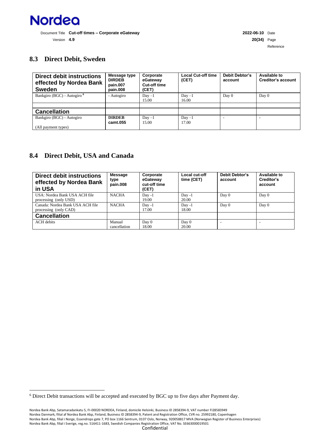

Reference

# <span id="page-19-0"></span>**8.3 Direct Debit, Sweden**

| <b>Direct debit instructions</b><br>effected by Nordea Bank<br><b>Sweden</b> | Message type<br><b>DIRDEB</b><br>pain.007<br>pain.008 | Corporate<br>eGateway<br>Cut-off time<br>(CET) | <b>Local Cut-off time</b><br>(CET) | <b>Debit Debtor's</b><br>account | Available to<br><b>Creditor's account</b> |
|------------------------------------------------------------------------------|-------------------------------------------------------|------------------------------------------------|------------------------------------|----------------------------------|-------------------------------------------|
| Bankgiro (BGC) - Autogiro <sup>6</sup>                                       | - Autogiro                                            | $Day -1$<br>15.00                              | $Day -1$<br>16.00                  | Day 0                            | Day 0                                     |
|                                                                              |                                                       |                                                |                                    |                                  |                                           |
| <b>Cancellation</b>                                                          |                                                       |                                                |                                    |                                  |                                           |
| Bankgiro (BGC) - Autogiro<br>(All payment types)                             | <b>DIRDEB</b><br>camt.055                             | $Day -1$<br>15.00                              | $Day -1$<br>17.00                  | ۰                                |                                           |

#### <span id="page-19-1"></span>**8.4 Direct Debit, USA and Canada**

| Direct debit instructions<br>effected by Nordea Bank<br>in USA | <b>Message</b><br>type<br>pain.008 | Corporate<br>eGateway<br>cut-off time<br>(CET) | Local cut-off<br>time (CET) | <b>Debit Debtor's</b><br>account | Available to<br>Creditor's<br>account |
|----------------------------------------------------------------|------------------------------------|------------------------------------------------|-----------------------------|----------------------------------|---------------------------------------|
| USA: Nordea Bank USA ACH file<br>processing (only USD)         | <b>NACHA</b>                       | $Day -1$<br>19.00                              | $Day -1$<br>20.00           | Day 0                            | Day 0                                 |
| Canada: Nordea Bank USA ACH file<br>processing (only CAD)      | <b>NACHA</b>                       | $Day -1$<br>17.00                              | $Day -1$<br>18.00           | Day 0                            | Day 0                                 |
| <b>Cancellation</b>                                            |                                    |                                                |                             |                                  |                                       |
| <b>ACH</b> debits                                              | Manual<br>cancellation             | Day 0<br>18.00                                 | Day 0<br>20.00              |                                  |                                       |

<sup>6</sup> Direct Debit transactions will be accepted and executed by BGC up to five days after Payment day.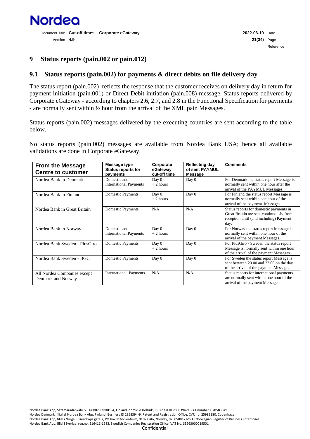

#### <span id="page-20-0"></span>**9 Status reports (pain.002 or pain.012)**

#### <span id="page-20-1"></span>**9.1 Status reports (pain.002) for payments & direct debits on file delivery day**

The status report (pain.002) reflects the response that the customer receives on delivery day in return for payment initiation (pain.001) or Direct Debit initiation (pain.008) message. Status reports delivered by Corporate eGateway - according to chapters 2.6, 2.7, and 2.8 in the Functional Specification for payments - are normally sent within ½ hour from the arrival of the XML pain Messages.

Status reports (pain.002) messages delivered by the executing countries are sent according to the table below.

No status reports (pain.002) messages are available from Nordea Bank USA; hence all available validations are done in Corporate eGateway.

| <b>From the Message</b><br><b>Centre to customer</b> | Message type<br><b>Status reports for</b><br>payments | Corporate<br>eGateway<br>cut-off time | <b>Reflecting day</b><br>of sent PAYMUL<br>Message | <b>Comments</b>                                                                                                                        |
|------------------------------------------------------|-------------------------------------------------------|---------------------------------------|----------------------------------------------------|----------------------------------------------------------------------------------------------------------------------------------------|
| Nordea Bank in Denmark                               | Domestic and<br><b>International Payments</b>         | Day 0<br>$+2$ hours                   | Day 0                                              | For Denmark the status report Message is<br>normally sent within one hour after the<br>arrival of the PAYMUL Messages.                 |
| Nordea Bank in Finland                               | <b>Domestic Payments</b>                              | Day 0<br>$+2$ hours                   | Day 0                                              | For Finland the status report Message is<br>normally sent within one hour of the<br>arrival of the payment Messages                    |
| Nordea Bank in Great Britain                         | <b>Domestic Payments</b>                              | N/A                                   | N/A                                                | Status reports for domestic payments in<br>Great Britain are sent continuously from<br>reception until (and including) Payment<br>day. |
| Nordea Bank in Norway                                | Domestic and<br><b>International Payments</b>         | Day 0<br>$+2$ hours                   | Day 0                                              | For Norway the status report Message is<br>normally sent within one hour of the<br>arrival of the payment Messages.                    |
| Nordea Bank Sweden - PlusGiro                        | <b>Domestic Payments</b>                              | Day 0<br>$+2$ hours                   | Day 0                                              | For PlusGiro - Sweden the status report<br>Message is normally sent within one hour<br>of the arrival of the payment Messages.         |
| Nordea Bank Sweden - BGC                             | <b>Domestic Payments</b>                              | Day $0$                               | Day 0                                              | For Sweden the status report Message is<br>sent between 20.00 and 23.00 on the day<br>of the arrival of the payment Message.           |
| All Nordea Companies except<br>Denmark and Norway    | International Payments                                | N/A                                   | N/A                                                | Status reports for international payments<br>are normally sent within one hour of the<br>arrival of the payment Message.               |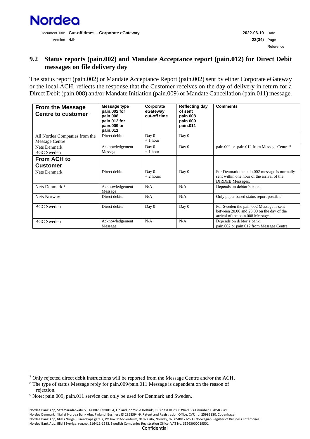

### <span id="page-21-0"></span>**9.2 Status reports (pain.002) and Mandate Acceptance report (pain.012) for Direct Debit messages on file delivery day**

The status report (pain.002) or Mandate Acceptance Report (pain.002) sent by either Corporate eGateway or the local ACH, reflects the response that the Customer receives on the day of delivery in return for a Direct Debit (pain.008) and/or Mandate Initiation (pain.009) or Mandate Cancellation (pain.011) message.

| <b>From the Message</b><br>Centre to customer 7        | Message type<br>pain.002 for<br>pain.008<br>pain.012 for<br>pain.009 or<br>pain.011 | Corporate<br>eGateway<br>cut-off time | <b>Reflecting day</b><br>of sent<br>pain.008<br>pain.009<br>pain.011 | <b>Comments</b>                                                                                                          |
|--------------------------------------------------------|-------------------------------------------------------------------------------------|---------------------------------------|----------------------------------------------------------------------|--------------------------------------------------------------------------------------------------------------------------|
| All Nordea Companies from the<br><b>Message Centre</b> | Direct debits                                                                       | Day 0<br>$+1$ hour                    | Day 0                                                                |                                                                                                                          |
| Nets Denmark<br><b>BGC</b> Sweden                      | Acknowledgement<br>Message                                                          | Day 0<br>$+1$ hour                    | Day 0                                                                | pain.002 or pain.012 from Message Centre <sup>8</sup>                                                                    |
| <b>From ACH to</b><br><b>Customer</b>                  |                                                                                     |                                       |                                                                      |                                                                                                                          |
| <b>Nets Denmark</b>                                    | Direct debits                                                                       | Day 0<br>$+2$ hours                   | Day 0                                                                | For Denmark the pain.002 message is normally<br>sent within one hour of the arrival of the<br><b>DIRDEB</b> Messages.    |
| Nets Denmark <sup>9</sup>                              | Acknowledgement<br>Message                                                          | N/A                                   | N/A                                                                  | Depends on debtor's bank.                                                                                                |
| Nets Norway                                            | Direct debits                                                                       | N/A                                   | N/A                                                                  | Only paper based status report possible                                                                                  |
| <b>BGC</b> Sweden                                      | Direct debits                                                                       | Day 0                                 | Day 0                                                                | For Sweden the pain.002 Message is sent<br>between 20.00 and 23.00 on the day of the<br>arrival of the pain.008 Message. |
| <b>BGC</b> Sweden                                      | Acknowledgement<br>Message                                                          | N/A                                   | N/A                                                                  | Depends on debtor's bank.<br>pain.002 or pain.012 from Message Centre                                                    |

<sup>7</sup> Only rejected direct debit instructions will be reported from the Message Centre and/or the ACH.

<sup>8</sup> The type of status Message reply for pain.009/pain.011 Message is dependent on the reason of rejection.

<sup>&</sup>lt;sup>9</sup> Note: pain.009, pain.011 service can only be used for Denmark and Sweden.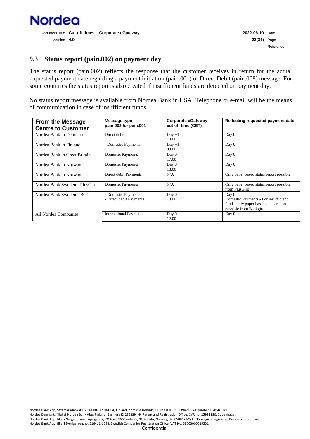

#### <span id="page-22-0"></span>**9.3 Status report (pain.002) on payment day**

The status report (pain.002) reflects the response that the customer receives in return for the actual requested payment date regarding a payment initiation (pain.001) or Direct Debit (pain.008) message. For some countries the status report is also created if insufficient funds are detected on payment day.

No status report message is available from Nordea Bank in USA. Telephone or e-mail will be the means of communication in case of insufficient funds.

| <b>From the Message</b><br><b>Centre to Customer</b> | Message type<br>pain.002 for pain.001          | Corporate eGateway<br>cut-off time (CET) | Reflecting requested payment date                                                                                |
|------------------------------------------------------|------------------------------------------------|------------------------------------------|------------------------------------------------------------------------------------------------------------------|
| Nordea Bank in Denmark                               | Direct debits                                  | $Day +1$<br>13.00                        | Day 0                                                                                                            |
| Nordea Bank in Finland                               | - Domestic Payments                            | $Day +1$<br>03.00                        | Day 0                                                                                                            |
| Nordea Bank in Great Britain                         | Domestic Payments                              | Day 0<br>17.00                           | Day 0                                                                                                            |
| Nordea Bank in Norway                                | <b>Domestic Payments</b>                       | Day 0<br>18.00                           | Day 0                                                                                                            |
| Nordea Bank in Norway                                | Direct debit Payments                          | N/A                                      | Only paper based status report possible                                                                          |
| Nordea Bank Sweden - PlusGiro                        | <b>Domestic Payments</b>                       | N/A                                      | Only paper based status report possible<br>from PlusGiro                                                         |
| Nordea Bank Sweden - BGC                             | - Domestic Payments<br>- Direct debit Payments | Day 0<br>13.00                           | Day 0<br>Domestic Payments - For insufficient<br>funds, only paper based status report<br>possible from Bankgiro |
| All Nordea Companies                                 | <b>International Payments</b>                  | Day 0<br>12.00                           | Day 0                                                                                                            |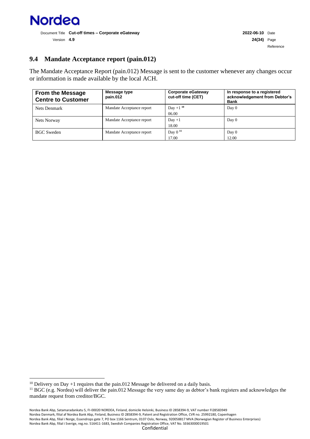

Reference

### <span id="page-23-0"></span>**9.4 Mandate Acceptance report (pain.012)**

The Mandate Acceptance Report (pain.012) Message is sent to the customer whenever any changes occur or information is made available by the local ACH.

| <b>From the Message</b><br><b>Centre to Customer</b> | Message type<br>pain.012  | Corporate eGateway<br>cut-off time (CET) | In response to a registered<br>acknowledgement from Debtor's<br><b>Bank</b> |
|------------------------------------------------------|---------------------------|------------------------------------------|-----------------------------------------------------------------------------|
| Nets Denmark                                         | Mandate Acceptance report | Day +1 $1^{10}$<br>06.00                 | Day 0                                                                       |
| Nets Norway                                          | Mandate Acceptance report | $Day +1$<br>18.00                        | Day 0                                                                       |
| <b>BGC Sweden</b>                                    | Mandate Acceptance report | Day $011$<br>17.00                       | Day 0<br>12.00                                                              |

 $10$  Delivery on Day +1 requires that the pain.012 Message be delivered on a daily basis.

<sup>&</sup>lt;sup>11</sup> BGC (e.g. Nordea) will deliver the pain.012 Message the very same day as debtor's bank registers and acknowledges the mandate request from creditor/BGC.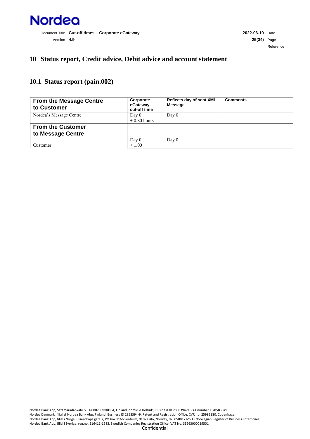

#### <span id="page-24-0"></span>**10 Status report, Credit advice, Debit advice and account statement**

#### <span id="page-24-1"></span>**10.1 Status report (pain.002)**

| <b>From the Message Centre</b><br>to Customer | Corporate<br>eGateway<br>cut-off time | <b>Reflects day of sent XML</b><br><b>Message</b> | <b>Comments</b> |
|-----------------------------------------------|---------------------------------------|---------------------------------------------------|-----------------|
| Nordea's Message Centre                       | Day 0<br>$+0.30$ hours                | Day $0$                                           |                 |
| <b>From the Customer</b><br>to Message Centre |                                       |                                                   |                 |
| Customer                                      | Day 0<br>$+1.00$                      | Day $0$                                           |                 |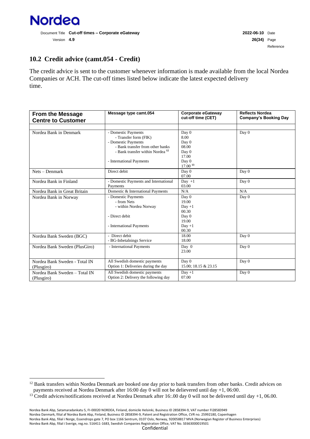

# <span id="page-25-0"></span>**10.2 Credit advice (camt.054 - Credit)**

The credit advice is sent to the customer whenever information is made available from the local Nordea Companies or ACH. The cut-off times listed below indicate the latest expected delivery time.

| <b>From the Message</b><br><b>Centre to Customer</b> | Message type camt.054                                                                                                                                                              | <b>Corporate eGateway</b><br>cut-off time (CET)                                   | <b>Reflects Nordea</b><br><b>Company's Booking Day</b> |
|------------------------------------------------------|------------------------------------------------------------------------------------------------------------------------------------------------------------------------------------|-----------------------------------------------------------------------------------|--------------------------------------------------------|
|                                                      |                                                                                                                                                                                    |                                                                                   |                                                        |
| Nordea Bank in Denmark                               | - Domestic Payments<br>- Transfer form (FIK)<br>- Domestic Payments<br>- Bank transfer from other banks<br>- Bank transfer within Nordea <sup>12</sup><br>- International Payments | Day 0<br>8.00<br>Day 0<br>08.00<br>Day 0<br>17.00<br>Day 0<br>17.00 <sup>13</sup> | Day 0                                                  |
| $Nets - Denmark$                                     | Direct debit                                                                                                                                                                       | Day 0<br>07.00                                                                    | Day 0                                                  |
| Nordea Bank in Finland                               | - Domestic Payments and International<br>Payments                                                                                                                                  | Day $+1$<br>03.00                                                                 | Day 0                                                  |
| Nordea Bank in Great Britain                         | Domestic & International Payments                                                                                                                                                  | N/A                                                                               | N/A                                                    |
| Nordea Bank in Norway                                | - Domestic Payments<br>- from Nets<br>- within Nordea Norway<br>- Direct debit<br>- International Payments                                                                         | Day 0<br>19.00<br>$Day +1$<br>00.30<br>Day 0<br>19.00<br>$Day +1$<br>00.30        | Day 0                                                  |
| Nordea Bank Sweden (BGC)                             | - Direct debit<br>- BG-Inbetalnings Service                                                                                                                                        | 18.00<br>18.00                                                                    | Day 0                                                  |
| Nordea Bank Sweden (PlusGiro)                        | - International Payments                                                                                                                                                           | Day 0<br>23.00                                                                    | Day 0                                                  |
| Nordea Bank Sweden - Total IN<br>(Plusgiro)          | All Swedish domestic payments<br>Option 1: Deliveries during the day                                                                                                               | Day 0<br>15.00: 18.15 & 23.15                                                     | Day 0                                                  |
| Nordea Bank Sweden - Total IN<br>(Plusgiro)          | All Swedish domestic payments<br>Option 2: Delivery the following day                                                                                                              | $Day +1$<br>07.00                                                                 | Day 0                                                  |

<sup>&</sup>lt;sup>12</sup> Bank transfers within Nordea Denmark are booked one day prior to bank transfers from other banks. Credit advices on payments received at Nordea Denmark after 16:00 day 0 will not be delievered until day +1, 06:00.

<sup>&</sup>lt;sup>13</sup> Credit advices/notifications received at Nordea Denmark after 16:.00 day 0 will not be delivered until day  $+1$ , 06.00.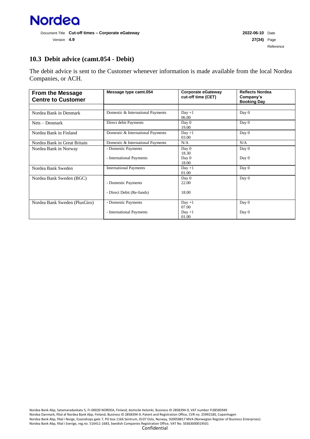

Reference

# <span id="page-26-0"></span>**10.3 Debit advice (camt.054 - Debit)**

The debit advice is sent to the Customer whenever information is made available from the local Nordea Companies, or ACH.

| Message type camt.054<br><b>From the Message</b><br><b>Centre to Customer</b> |                                   | <b>Corporate eGateway</b><br>cut-off time (CET) | <b>Reflects Nordea</b><br>Company's<br><b>Booking Day</b> |
|-------------------------------------------------------------------------------|-----------------------------------|-------------------------------------------------|-----------------------------------------------------------|
|                                                                               |                                   |                                                 |                                                           |
| Nordea Bank in Denmark                                                        | Domestic & International Payments | $Day +1$<br>06.00                               | Day 0                                                     |
| $Nets - Denmark$                                                              | Direct debit Payments             | Day 0<br>19.00                                  | Day 0                                                     |
| Nordea Bank in Finland                                                        | Domestic & International Payments | $Day +1$<br>03.00                               | Day 0                                                     |
| Nordea Bank in Great Britain                                                  | Domestic & International Payments | N/A                                             | N/A                                                       |
| Nordea Bank in Norway                                                         | - Domestic Payments               | Day 0<br>18.30                                  | Day 0                                                     |
|                                                                               | - International Payments          | Day 0<br>18.00                                  | Day 0                                                     |
| Nordea Bank Sweden                                                            | <b>International Payments</b>     | $Day +1$<br>01.00                               | Day 0                                                     |
| Nordea Bank Sweden (BGC)                                                      | - Domestic Payments               | Day 0<br>22.00                                  | Day 0                                                     |
|                                                                               | - Direct Debit (Re-funds)         | 18.00                                           |                                                           |
| Nordea Bank Sweden (PlusGiro)                                                 | - Domestic Payments               | $Day +1$<br>07.00                               | Day 0                                                     |
|                                                                               | - International Payments          | $Day +1$<br>01.00                               | Day 0                                                     |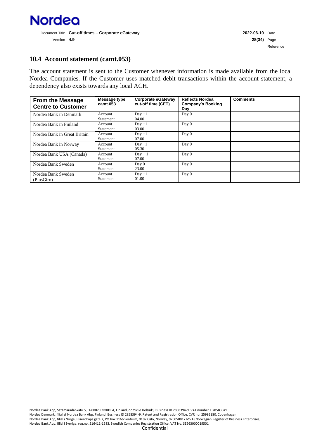

#### <span id="page-27-0"></span>**10.4 Account statement (camt.053)**

The account statement is sent to the Customer whenever information is made available from the local Nordea Companies. If the Customer uses matched debit transactions within the account statement, a dependency also exists towards any local ACH.

| <b>From the Message</b><br><b>Centre to Customer</b> | Message type<br>camt.053 | Corporate eGateway<br>cut-off time (CET) | <b>Reflects Nordea</b><br>Company's Booking<br>Day | <b>Comments</b> |
|------------------------------------------------------|--------------------------|------------------------------------------|----------------------------------------------------|-----------------|
| Nordea Bank in Denmark                               | Account<br>Statement     | $Day + 1$<br>04.00                       | Day 0                                              |                 |
| Nordea Bank in Finland                               | Account<br>Statement     | $Day +1$<br>03.00                        | Day 0                                              |                 |
| Nordea Bank in Great Britain                         | Account<br>Statement     | $Day +1$<br>07.00                        | Day 0                                              |                 |
| Nordea Bank in Norway                                | Account<br>Statement     | $Day +1$<br>05.30                        | Day 0                                              |                 |
| Nordea Bank USA (Canada)                             | Account<br>Statement     | $Day + 1$<br>07.00                       | Day 0                                              |                 |
| Nordea Bank Sweden                                   | Account<br>Statement     | Day 0<br>23.00                           | Day 0                                              |                 |
| Nordea Bank Sweden<br>(PlusGiro)                     | Account<br>Statement     | $Day +1$<br>01.00                        | Day 0                                              |                 |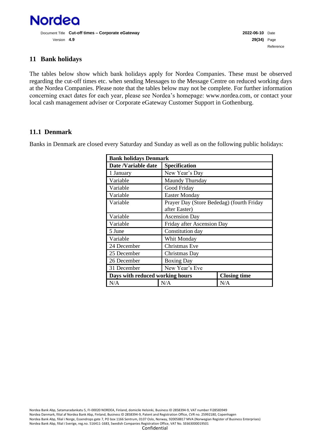

## <span id="page-28-0"></span>**11 Bank holidays**

The tables below show which bank holidays apply for Nordea Companies. These must be observed regarding the cut-off times etc. when sending Messages to the Message Centre on reduced working days at the Nordea Companies. Please note that the tables below may not be complete. For further information concerning exact dates for each year, please see Nordea's homepage: www.nordea.com, or contact your local cash management adviser or Corporate eGateway Customer Support in Gothenburg.

#### <span id="page-28-1"></span>**11.1 Denmark**

Banks in Denmark are closed every Saturday and Sunday as well as on the following public holidays:

| <b>Bank holidays Denmark</b>    |                      |                                           |  |  |
|---------------------------------|----------------------|-------------------------------------------|--|--|
| Date /Variable date             | <b>Specification</b> |                                           |  |  |
| 1 January                       | New Year's Day       |                                           |  |  |
| Variable                        | Maundy Thursday      |                                           |  |  |
| Variable                        | Good Friday          |                                           |  |  |
| Variable                        | <b>Easter Monday</b> |                                           |  |  |
| Variable                        | after Easter)        | Prayer Day (Store Bededag) (fourth Friday |  |  |
| Variable                        | <b>Ascension Day</b> |                                           |  |  |
| Variable                        |                      | Friday after Ascension Day                |  |  |
| 5 June                          | Constitution day     |                                           |  |  |
| Variable                        | Whit Monday          |                                           |  |  |
| 24 December                     | Christmas Eve        |                                           |  |  |
| 25 December                     | Christmas Day        |                                           |  |  |
| 26 December                     | <b>Boxing Day</b>    |                                           |  |  |
| 31 December                     | New Year's Eve       |                                           |  |  |
| Days with reduced working hours |                      | <b>Closing time</b>                       |  |  |
| N/A                             | N/A                  | N/A                                       |  |  |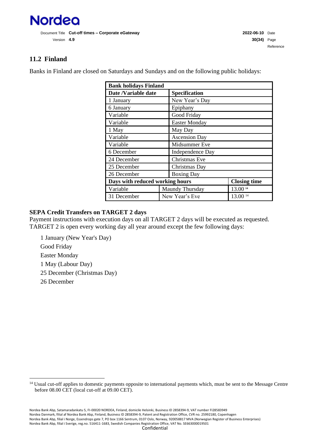

# <span id="page-29-0"></span>**11.2 Finland**

Banks in Finland are closed on Saturdays and Sundays and on the following public holidays:

<span id="page-29-1"></span>

| <b>Bank holidays Finland</b>    |                 |                         |                     |  |
|---------------------------------|-----------------|-------------------------|---------------------|--|
| Date /Variable date             |                 | <b>Specification</b>    |                     |  |
| 1 January                       |                 | New Year's Day          |                     |  |
| 6 January                       |                 | Epiphany                |                     |  |
| Variable                        |                 | Good Friday             |                     |  |
| Variable                        |                 | <b>Easter Monday</b>    |                     |  |
| 1 May                           |                 | May Day                 |                     |  |
| Variable                        |                 | <b>Ascension Day</b>    |                     |  |
| Variable                        |                 | Midsummer Eve           |                     |  |
| 6 December                      |                 | <b>Independence Day</b> |                     |  |
| 24 December                     |                 | Christmas Eve           |                     |  |
| 25 December                     |                 | Christmas Day           |                     |  |
| 26 December                     |                 | <b>Boxing Day</b>       |                     |  |
| Days with reduced working hours |                 |                         | <b>Closing time</b> |  |
| Variable                        | Maundy Thursday |                         | 13.00 14            |  |
| 31 December                     | New Year's Eve  |                         | 13.00 14            |  |

#### **SEPA Credit Transfers on TARGET 2 days**

Payment instructions with execution days on all TARGET 2 days will be executed as requested. TARGET 2 is open every working day all year around except the few following days:

1 January (New Year's Day) Good Friday Easter Monday 1 May (Labour Day) 25 December (Christmas Day) 26 December

<sup>&</sup>lt;sup>14</sup> Usual cut-off applies to domestic payments opposite to international payments which, must be sent to the Message Centre before 08.00 CET (local cut-off at 09.00 CET).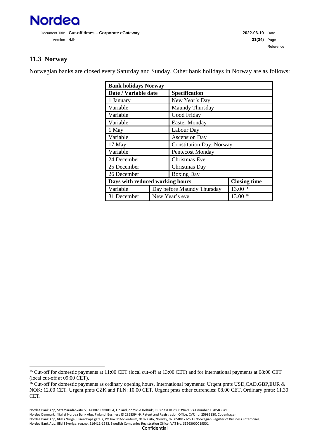

# <span id="page-30-0"></span>**11.3 Norway**

Norwegian banks are closed every Saturday and Sunday. Other bank holidays in Norway are as follows:

| <b>Bank holidays Norway</b>     |                            |                          |          |  |  |
|---------------------------------|----------------------------|--------------------------|----------|--|--|
| Date / Variable date            |                            | Specification            |          |  |  |
| 1 January                       |                            | New Year's Day           |          |  |  |
| Variable                        |                            | Maundy Thursday          |          |  |  |
| Variable                        |                            | Good Friday              |          |  |  |
| Variable                        |                            | <b>Easter Monday</b>     |          |  |  |
| 1 May                           |                            | Labour Day               |          |  |  |
| Variable                        |                            | <b>Ascension Day</b>     |          |  |  |
| 17 May                          |                            | Constitution Day, Norway |          |  |  |
| Variable                        |                            | <b>Pentecost Monday</b>  |          |  |  |
| 24 December                     |                            | Christmas Eve            |          |  |  |
| 25 December                     |                            | Christmas Day            |          |  |  |
| 26 December                     | <b>Boxing Day</b>          |                          |          |  |  |
| Days with reduced working hours |                            | <b>Closing time</b>      |          |  |  |
| Variable                        | Day before Maundy Thursday |                          | 13.00 15 |  |  |
| 31 December                     | New Year's eve             |                          | 13.0016  |  |  |

<sup>&</sup>lt;sup>15</sup> Cut-off for domestic payments at 11:00 CET (local cut-off at 13:00 CET) and for international payments at 08:00 CET (local cut-off at 09:00 CET).

<sup>&</sup>lt;sup>16</sup> Cut-off for domestic payments as ordinary opening hours. International payments: Urgent pmts USD,CAD,GBP,EUR & NOK: 12.00 CET. Urgent pmts CZK and PLN: 10.00 CET. Urgent pmts other currencies: 08.00 CET. Ordinary pmts: 11.30 CET.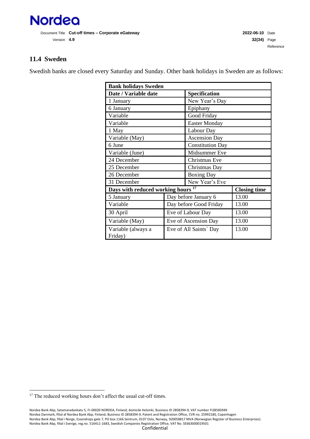

# <span id="page-31-0"></span>**11.4 Sweden**

Swedish banks are closed every Saturday and Sunday. Other bank holidays in Sweden are as follows:

| <b>Bank holidays Sweden</b>                   |  |                         |                     |  |
|-----------------------------------------------|--|-------------------------|---------------------|--|
| Date / Variable date                          |  | Specification           |                     |  |
| 1 January                                     |  | New Year's Day          |                     |  |
| 6 January                                     |  | Epiphany                |                     |  |
| Variable                                      |  | Good Friday             |                     |  |
| Variable                                      |  | <b>Easter Monday</b>    |                     |  |
| 1 May                                         |  | Labour Day              |                     |  |
| Variable (May)                                |  | <b>Ascension Day</b>    |                     |  |
| 6 June                                        |  | <b>Constitution Day</b> |                     |  |
| Variable (June)                               |  | Midsummer Eve           |                     |  |
| 24 December                                   |  | <b>Christmas Eve</b>    |                     |  |
| 25 December                                   |  | Christmas Day           |                     |  |
| 26 December                                   |  | <b>Boxing Day</b>       |                     |  |
| 31 December                                   |  | New Year's Eve          |                     |  |
| Days with reduced working hours <sup>17</sup> |  |                         | <b>Closing time</b> |  |
| 5 January                                     |  | Day before January 6    | 13.00               |  |
| Variable                                      |  | Day before Good Friday  | 13.00               |  |
| 30 April                                      |  | Eve of Labour Day       | 13.00               |  |
| Variable (May)                                |  | Eve of Ascension Day    | 13.00               |  |
| Variable (always a<br>Friday)                 |  | Eve of All Saints' Day  | 13.00               |  |

 $^{\rm 17}$  The reduced working hours don't affect the usual cut-off times.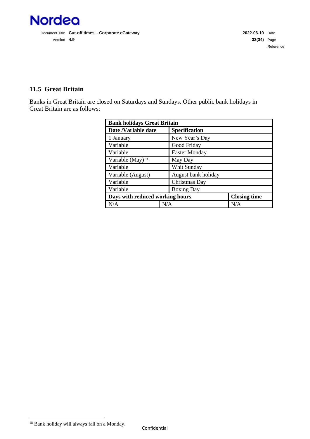

Document Title **Cut-off times – Corporate eGateway 2022-06-10** Date Version **4.9 33(34)** Page

# <span id="page-32-0"></span>**11.5 Great Britain**

Banks in Great Britain are closed on Saturdays and Sundays. Other public bank holidays in Great Britain are as follows:

| <b>Bank holidays Great Britain</b>          |                      |                     |  |  |
|---------------------------------------------|----------------------|---------------------|--|--|
| Date /Variable date<br><b>Specification</b> |                      |                     |  |  |
| 1 January                                   | New Year's Day       |                     |  |  |
| Variable                                    | Good Friday          |                     |  |  |
| Variable                                    | <b>Easter Monday</b> |                     |  |  |
| Variable (May) <sup>18</sup>                | May Day              |                     |  |  |
| Variable                                    | Whit Sunday          |                     |  |  |
| Variable (August)                           | August bank holiday  |                     |  |  |
| Variable                                    | Christmas Day        |                     |  |  |
| Variable<br><b>Boxing Day</b>               |                      |                     |  |  |
| Days with reduced working hours             |                      | <b>Closing time</b> |  |  |
| N/A<br>N/A                                  |                      | N/A                 |  |  |

<sup>18</sup> Bank holiday will always fall on a Monday.